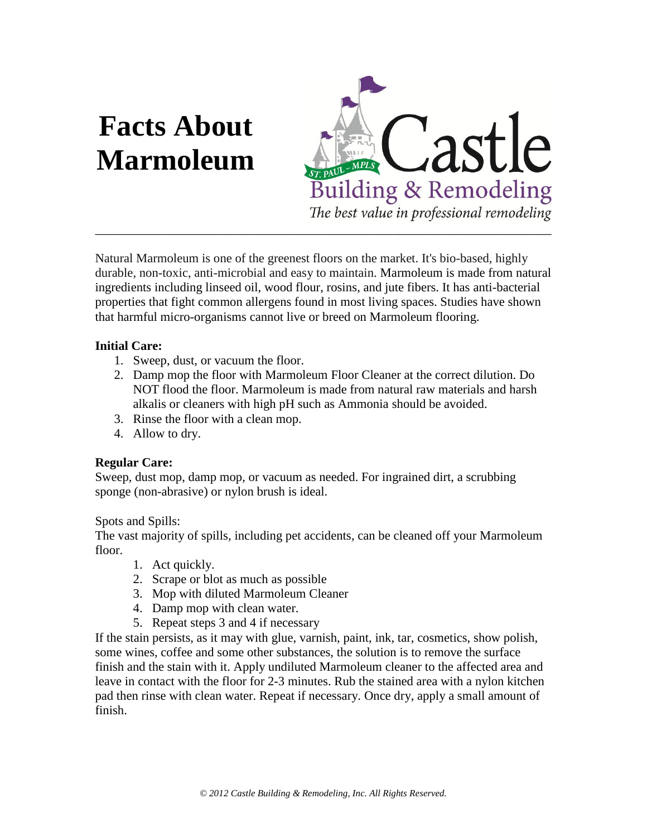# **Facts About Marmoleum**



Natural Marmoleum is one of the greenest floors on the market. It's bio-based, highly durable, non-toxic, anti-microbial and easy to maintain. Marmoleum is made from natural ingredients including linseed oil, wood flour, rosins, and jute fibers. It has anti-bacterial properties that fight common allergens found in most living spaces. Studies have shown that harmful micro-organisms cannot live or breed on Marmoleum flooring.

## **Initial Care:**

- 1. Sweep, dust, or vacuum the floor.
- 2. Damp mop the floor with Marmoleum Floor Cleaner at the correct dilution. Do NOT flood the floor. Marmoleum is made from natural raw materials and harsh alkalis or cleaners with high pH such as Ammonia should be avoided.
- 3. Rinse the floor with a clean mop.
- 4. Allow to dry.

## **Regular Care:**

Sweep, dust mop, damp mop, or vacuum as needed. For ingrained dirt, a scrubbing sponge (non-abrasive) or nylon brush is ideal.

## Spots and Spills:

The vast majority of spills, including pet accidents, can be cleaned off your Marmoleum floor.

- 1. Act quickly.
- 2. Scrape or blot as much as possible
- 3. Mop with diluted Marmoleum Cleaner
- 4. Damp mop with clean water.
- 5. Repeat steps 3 and 4 if necessary

If the stain persists, as it may with glue, varnish, paint, ink, tar, cosmetics, show polish, some wines, coffee and some other substances, the solution is to remove the surface finish and the stain with it. Apply undiluted Marmoleum cleaner to the affected area and leave in contact with the floor for 2-3 minutes. Rub the stained area with a nylon kitchen pad then rinse with clean water. Repeat if necessary. Once dry, apply a small amount of finish.